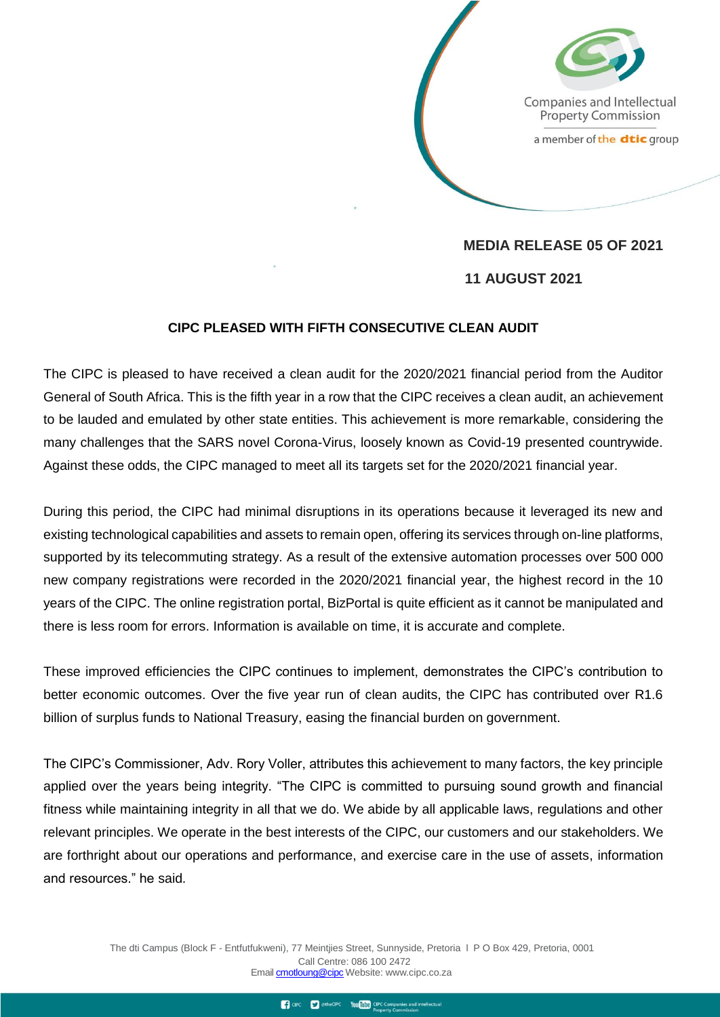Companies and Intellectual **Property Commission** 

a member of the dtic group

**MEDIA RELEASE 05 OF 2021 11 AUGUST 2021**

## **CIPC PLEASED WITH FIFTH CONSECUTIVE CLEAN AUDIT**

The CIPC is pleased to have received a clean audit for the 2020/2021 financial period from the Auditor General of South Africa. This is the fifth year in a row that the CIPC receives a clean audit, an achievement to be lauded and emulated by other state entities. This achievement is more remarkable, considering the many challenges that the SARS novel Corona-Virus, loosely known as Covid-19 presented countrywide. Against these odds, the CIPC managed to meet all its targets set for the 2020/2021 financial year.

During this period, the CIPC had minimal disruptions in its operations because it leveraged its new and existing technological capabilities and assets to remain open, offering its services through on-line platforms, supported by its telecommuting strategy. As a result of the extensive automation processes over 500 000 new company registrations were recorded in the 2020/2021 financial year, the highest record in the 10 years of the CIPC. The online registration portal, BizPortal is quite efficient as it cannot be manipulated and there is less room for errors. Information is available on time, it is accurate and complete.

These improved efficiencies the CIPC continues to implement, demonstrates the CIPC's contribution to better economic outcomes. Over the five year run of clean audits, the CIPC has contributed over R1.6 billion of surplus funds to National Treasury, easing the financial burden on government.

The CIPC's Commissioner, Adv. Rory Voller, attributes this achievement to many factors, the key principle applied over the years being integrity. "The CIPC is committed to pursuing sound growth and financial fitness while maintaining integrity in all that we do. We abide by all applicable laws, regulations and other relevant principles. We operate in the best interests of the CIPC, our customers and our stakeholders. We are forthright about our operations and performance, and exercise care in the use of assets, information and resources." he said.

> The dti Campus (Block F - Entfutfukweni), 77 Meintjies Street, Sunnyside, Pretoria l P O Box 429, Pretoria, 0001 Call Centre: 086 100 2472 Email [cmotloung@cipc](http://cmotloung@cipc) Webs[ite: www.cipc.co.za](http://www.cipc.co.za/)

> > To CIPC To The CIPC You Tube CIPC Companies and intellectual